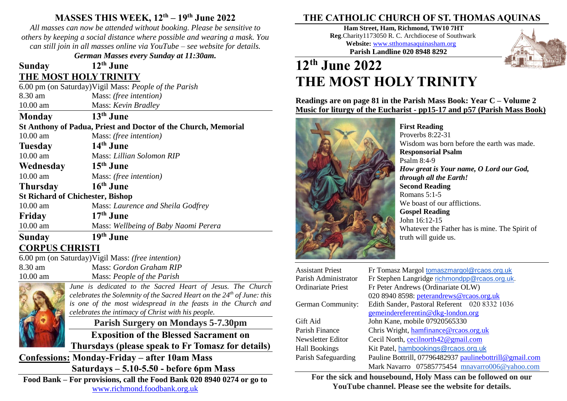## **MASSES THIS WEEK, 12th – 19 th June 2022**

*All masses can now be attended without booking. Please be sensitive to others by keeping a social distance where possible and wearing a mask. You can still join in all masses online via YouTube – see website for details.*

*German Masses every Sunday at 11:30am.*

### **Sunday 12th June THE MOST HOLY TRINITY**

6.00 pm (on Saturday)Vigil Mass: *People of the Parish* 8.30 am Mass: *(free intention)* 10.00 am Mass: *Kevin Bradley* **Monday 13th June St Anthony of Padua, Priest and Doctor of the Church, Memorial** 10.00 am Mass: *(free intention)* **Tuesday 14th June**

10.00 am Mass: *Lillian Solomon RIP*

**Wednesday 15th June** 10.00 am Mass: *(free intention)*

**Thursday 16th June**

**St Richard of Chichester, Bishop**

10.00 am Mass: *Laurence and Sheila Godfrey* **Friday 17**  $17<sup>th</sup>$  **June** 

10.00 am Mass: *Wellbeing of Baby Naomi Perera*

#### **Sunday 19<sup>th</sup>** June **CORPUS CHRISTI**

6.00 pm (on Saturday)Vigil Mass: *(free intention)* 8.30 am Mass: *Gordon Graham RIP* 10.00 am Mass: *People of the Parish*

*June is dedicated to the Sacred Heart of Jesus. The Church celebrates the Solemnity of the Sacred Heart on the 24th of June: this is one of the most widespread in the feasts in the Church and celebrates the intimacy of Christ with his people.*

**Parish Surgery on Mondays 5-7.30pm**

**Exposition of the Blessed Sacrament on** 

**Thursdays (please speak to Fr Tomasz for details)**

**Confessions: Monday-Friday – after 10am Mass Saturdays – 5.10-5.50 - before 6pm Mass**

**Food Bank – For provisions, call the Food Bank 020 8940 0274 or go to**  [www.richmond.foodbank.org.uk](http://www.richmond.foodbank.org.uk/)

## **THE CATHOLIC CHURCH OF ST. THOMAS AQUINAS**

**Ham Street, Ham, Richmond, TW10 7HT Reg**.Charity1173050 R. C. Archdiocese of Southwark **Website:** [www.stthomasaquinasham.org](http://www.stthomasaquinasham.org/) **Parish Landline 020 8948 8292**



# **12th June 2022 THE MOST HOLY TRINITY**

**Readings are on page 81 in the Parish Mass Book: Year C – Volume 2 Music for liturgy of the Eucharist - pp15-17 and p57 (Parish Mass Book)**



**First Reading** Proverbs  $8:22-31$ Wisdom was born before the earth was made. **Responsorial Psalm** Psalm 8:4-9 *How great is Your name, O Lord our God, through all the Earth!* **Second Reading** Romans 5:1-5 We boast of our afflictions. **Gospel Reading** John 16:12-15 Whatever the Father has is mine. The Spirit of truth will guide us.

| <b>Assistant Priest</b> | Fr Tomasz Margol tomaszmargol@rcaos.org.uk              |
|-------------------------|---------------------------------------------------------|
| Parish Administrator    | Fr Stephen Langridge richmondpp@rcaos.org.uk.           |
| Ordinariate Priest      | Fr Peter Andrews (Ordinariate OLW)                      |
|                         | 020 8940 8598: peterandrews@rcaos.org.uk                |
| German Community:       | Edith Sander, Pastoral Referent 020 8332 1036           |
|                         | gemeindereferentin@dkg-london.org                       |
| Gift Aid                | John Kane, mobile 07920565330                           |
| Parish Finance          | Chris Wright, hamfinance@rcaos.org.uk                   |
| Newsletter Editor       | Cecil North, cecilnorth42@gmail.com                     |
| Hall Bookings           | Kit Patel, hambookings@rcaos.org.uk                     |
| Parish Safeguarding     | Pauline Bottrill, 07796482937 paulinebottrill@gmail.com |
|                         | Mark Navarro 07585775454 mnavarro006@yahoo.com          |

**For the sick and housebound, Holy Mass can be followed on our YouTube channel. Please see the website for details.**